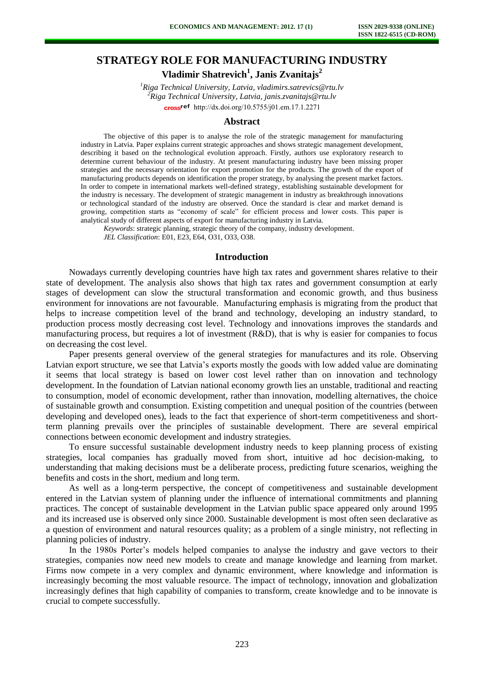# **STRATEGY ROLE FOR MANUFACTURING INDUSTRY**

**Vladimir Shatrevich<sup>1</sup> , Janis Zvanitajs<sup>2</sup>**

*<sup>1</sup>Riga Technical University, Latvia, vladimirs.satrevics@rtu.lv <sup>2</sup>Riga Technical University, Latvia, janis.zvanitajs@rtu.lv*  cross<sup>ref</sup> [http://dx.doi.org/10.5755/j01.e](http://dx.doi.org/10.5755/j01.em.17.1.2271)m.17.1.2271

#### **Abstract**

The objective of this paper is to analyse the role of the strategic management for manufacturing industry in Latvia. Paper explains current strategic approaches and shows strategic management development, describing it based on the technological evolution approach. Firstly, authors use exploratory research to determine current behaviour of the industry. At present manufacturing industry have been missing proper strategies and the necessary orientation for export promotion for the products. The growth of the export of manufacturing products depends on identification the proper strategy, by analysing the present market factors. In order to compete in international markets well-defined strategy, establishing sustainable development for the industry is necessary. The development of strategic management in industry as breakthrough innovations or technological standard of the industry are observed. Once the standard is clear and market demand is growing, competition starts as "economy of scale" for efficient process and lower costs. This paper is analytical study of different aspects of export for manufacturing industry in Latvia.

*Keywords*: strategic planning, strategic theory of the company, industry development.

*JEL Classification*: E01, E23, E64, O31, O33, O38.

### **Introduction**

Nowadays currently developing countries have high tax rates and government shares relative to their state of development. The analysis also shows that high tax rates and government consumption at early stages of development can slow the structural transformation and economic growth, and thus business environment for innovations are not favourable. Manufacturing emphasis is migrating from the product that helps to increase competition level of the brand and technology, developing an industry standard, to production process mostly decreasing cost level. Technology and innovations improves the standards and manufacturing process, but requires a lot of investment (R&D), that is why is easier for companies to focus on decreasing the cost level.

Paper presents general overview of the general strategies for manufactures and its role. Observing Latvian export structure, we see that Latvia's exports mostly the goods with low added value are dominating it seems that local strategy is based on lower cost level rather than on innovation and technology development. In the foundation of Latvian national economy growth lies an unstable, traditional and reacting to consumption, model of economic development, rather than innovation, modelling alternatives, the choice of sustainable growth and consumption. Existing competition and unequal position of the countries (between developing and developed ones), leads to the fact that experience of short-term competitiveness and shortterm planning prevails over the principles of sustainable development. There are several empirical connections between economic development and industry strategies.

To ensure successful sustainable development industry needs to keep planning process of existing strategies, local companies has gradually moved from short, intuitive ad hoc decision-making, to understanding that making decisions must be a deliberate process, predicting future scenarios, weighing the benefits and costs in the short, medium and long term.

As well as a long-term perspective, the concept of competitiveness and sustainable development entered in the Latvian system of planning under the influence of international commitments and planning practices. The concept of sustainable development in the Latvian public space appeared only around 1995 and its increased use is observed only since 2000. Sustainable development is most often seen declarative as a question of environment and natural resources quality; as a problem of a single ministry, not reflecting in planning policies of industry.

In the 1980s Porter's models helped companies to analyse the industry and gave vectors to their strategies, companies now need new models to create and manage knowledge and learning from market. Firms now compete in a very complex and dynamic environment, where knowledge and information is increasingly becoming the most valuable resource. The impact of technology, innovation and globalization increasingly defines that high capability of companies to transform, create knowledge and to be innovate is crucial to compete successfully.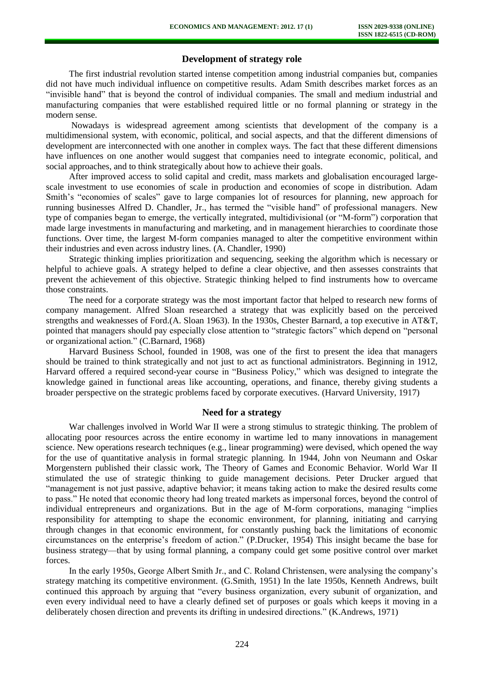## **Development of strategy role**

The first industrial revolution started intense competition among industrial companies but, companies did not have much individual influence on competitive results. Adam Smith describes market forces as an "invisible hand" that is beyond the control of individual companies. The small and medium industrial and manufacturing companies that were established required little or no formal planning or strategy in the modern sense.

Nowadays is widespread agreement among scientists that development of the company is a multidimensional system, with economic, political, and social aspects, and that the different dimensions of development are interconnected with one another in complex ways. The fact that these different dimensions have influences on one another would suggest that companies need to integrate economic, political, and social approaches, and to think strategically about how to achieve their goals.

After improved access to solid capital and credit, mass markets and globalisation encouraged largescale investment to use economies of scale in production and economies of scope in distribution. Adam Smith's "economies of scales" gave to large companies lot of resources for planning, new approach for running businesses Alfred D. Chandler, Jr., has termed the "visible hand" of professional managers. New type of companies began to emerge, the vertically integrated, multidivisional (or "M-form") corporation that made large investments in manufacturing and marketing, and in management hierarchies to coordinate those functions. Over time, the largest M-form companies managed to alter the competitive environment within their industries and even across industry lines. (A. Chandler, 1990)

Strategic thinking implies prioritization and sequencing, seeking the algorithm which is necessary or helpful to achieve goals. A strategy helped to define a clear objective, and then assesses constraints that prevent the achievement of this objective. Strategic thinking helped to find instruments how to overcame those constraints.

The need for a corporate strategy was the most important factor that helped to research new forms of company management. Alfred Sloan researched a strategy that was explicitly based on the perceived strengths and weaknesses of Ford.(A. Sloan 1963). In the 1930s, Chester Barnard, a top executive in AT&T, pointed that managers should pay especially close attention to "strategic factors" which depend on "personal or organizational action." (C.Barnard, 1968)

Harvard Business School, founded in 1908, was one of the first to present the idea that managers should be trained to think strategically and not just to act as functional administrators. Beginning in 1912, Harvard offered a required second-year course in "Business Policy," which was designed to integrate the knowledge gained in functional areas like accounting, operations, and finance, thereby giving students a broader perspective on the strategic problems faced by corporate executives. (Harvard University, 1917)

## **Need for a strategy**

War challenges involved in World War II were a strong stimulus to strategic thinking. The problem of allocating poor resources across the entire economy in wartime led to many innovations in management science. New operations research techniques (e.g., linear programming) were devised, which opened the way for the use of quantitative analysis in formal strategic planning. In 1944, John von Neumann and Oskar Morgenstern published their classic work, The Theory of Games and Economic Behavior. World War II stimulated the use of strategic thinking to guide management decisions. Peter Drucker argued that "management is not just passive, adaptive behavior; it means taking action to make the desired results come to pass." He noted that economic theory had long treated markets as impersonal forces, beyond the control of individual entrepreneurs and organizations. But in the age of M-form corporations, managing "implies responsibility for attempting to shape the economic environment, for planning, initiating and carrying through changes in that economic environment, for constantly pushing back the limitations of economic circumstances on the enterprise's freedom of action." (P.Drucker, 1954) This insight became the base for business strategy—that by using formal planning, a company could get some positive control over market forces.

In the early 1950s, George Albert Smith Jr., and C. Roland Christensen, were analysing the company's strategy matching its competitive environment. (G.Smith, 1951) In the late 1950s, Kenneth Andrews, built continued this approach by arguing that "every business organization, every subunit of organization, and even every individual need to have a clearly defined set of purposes or goals which keeps it moving in a deliberately chosen direction and prevents its drifting in undesired directions." (K.Andrews, 1971)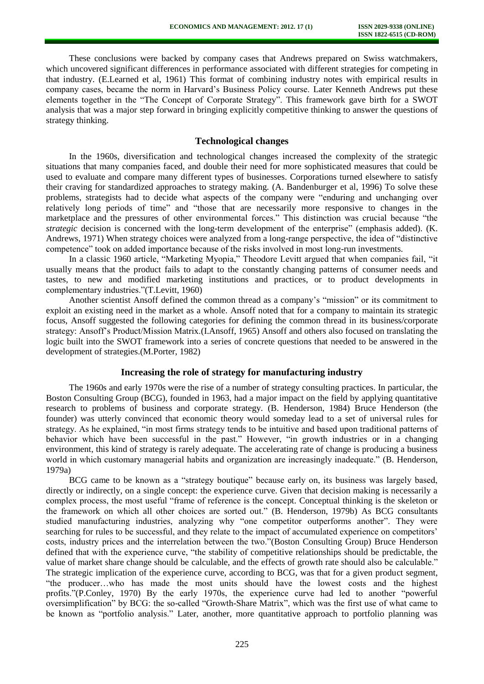These conclusions were backed by company cases that Andrews prepared on Swiss watchmakers, which uncovered significant differences in performance associated with different strategies for competing in that industry. (E.Learned et al, 1961) This format of combining industry notes with empirical results in company cases, became the norm in Harvard's Business Policy course. Later Kenneth Andrews put these elements together in the "The Concept of Corporate Strategy". This framework gave birth for a SWOT analysis that was a major step forward in bringing explicitly competitive thinking to answer the questions of strategy thinking.

### **Technological changes**

In the 1960s, diversification and technological changes increased the complexity of the strategic situations that many companies faced, and double their need for more sophisticated measures that could be used to evaluate and compare many different types of businesses. Corporations turned elsewhere to satisfy their craving for standardized approaches to strategy making. (A. Bandenburger et al, 1996) To solve these problems, strategists had to decide what aspects of the company were "enduring and unchanging over relatively long periods of time" and "those that are necessarily more responsive to changes in the marketplace and the pressures of other environmental forces." This distinction was crucial because "the *strategic* decision is concerned with the long-term development of the enterprise" (emphasis added). (K. Andrews, 1971) When strategy choices were analyzed from a long-range perspective, the idea of "distinctive competence" took on added importance because of the risks involved in most long-run investments.

In a classic 1960 article, "Marketing Myopia," Theodore Levitt argued that when companies fail, "it usually means that the product fails to adapt to the constantly changing patterns of consumer needs and tastes, to new and modified marketing institutions and practices, or to product developments in complementary industries."(T.Levitt, 1960)

Another scientist Ansoff defined the common thread as a company's "mission" or its commitment to exploit an existing need in the market as a whole. Ansoff noted that for a company to maintain its strategic focus, Ansoff suggested the following categories for defining the common thread in its business/corporate strategy: Ansoff's Product/Mission Matrix.(I.Ansoff, 1965) Ansoff and others also focused on translating the logic built into the SWOT framework into a series of concrete questions that needed to be answered in the development of strategies.(M.Porter, 1982)

### **Increasing the role of strategy for manufacturing industry**

The 1960s and early 1970s were the rise of a number of strategy consulting practices. In particular, the Boston Consulting Group (BCG), founded in 1963, had a major impact on the field by applying quantitative research to problems of business and corporate strategy. (B. Henderson, 1984) Bruce Henderson (the founder) was utterly convinced that economic theory would someday lead to a set of universal rules for strategy. As he explained, "in most firms strategy tends to be intuitive and based upon traditional patterns of behavior which have been successful in the past." However, "in growth industries or in a changing environment, this kind of strategy is rarely adequate. The accelerating rate of change is producing a business world in which customary managerial habits and organization are increasingly inadequate." (B. Henderson, 1979a)

BCG came to be known as a "strategy boutique" because early on, its business was largely based, directly or indirectly, on a single concept: the experience curve. Given that decision making is necessarily a complex process, the most useful "frame of reference is the concept. Conceptual thinking is the skeleton or the framework on which all other choices are sorted out." (B. Henderson, 1979b) As BCG consultants studied manufacturing industries, analyzing why "one competitor outperforms another". They were searching for rules to be successful, and they relate to the impact of accumulated experience on competitors' costs, industry prices and the interrelation between the two."(Boston Consulting Group) Bruce Henderson defined that with the experience curve, "the stability of competitive relationships should be predictable, the value of market share change should be calculable, and the effects of growth rate should also be calculable." The strategic implication of the experience curve, according to BCG, was that for a given product segment, "the producer…who has made the most units should have the lowest costs and the highest profits."(P.Conley, 1970) By the early 1970s, the experience curve had led to another "powerful oversimplification" by BCG: the so-called "Growth-Share Matrix", which was the first use of what came to be known as "portfolio analysis." Later, another, more quantitative approach to portfolio planning was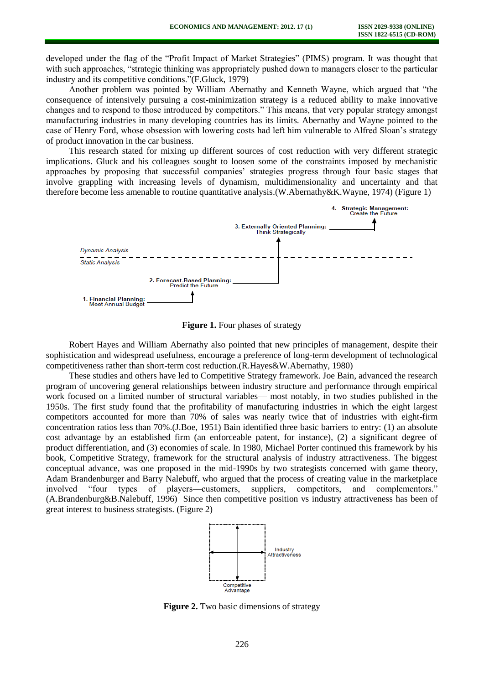developed under the flag of the "Profit Impact of Market Strategies" (PIMS) program. It was thought that with such approaches, "strategic thinking was appropriately pushed down to managers closer to the particular industry and its competitive conditions."(F.Gluck, 1979)

Another problem was pointed by William Abernathy and Kenneth Wayne, which argued that "the consequence of intensively pursuing a cost-minimization strategy is a reduced ability to make innovative changes and to respond to those introduced by competitors." This means, that very popular strategy amongst manufacturing industries in many developing countries has its limits. Abernathy and Wayne pointed to the case of Henry Ford, whose obsession with lowering costs had left him vulnerable to Alfred Sloan's strategy of product innovation in the car business.

This research stated for mixing up different sources of cost reduction with very different strategic implications. Gluck and his colleagues sought to loosen some of the constraints imposed by mechanistic approaches by proposing that successful companies' strategies progress through four basic stages that involve grappling with increasing levels of dynamism, multidimensionality and uncertainty and that therefore become less amenable to routine quantitative analysis.(W.Abernathy&K.Wayne, 1974) (Figure 1)



**Figure 1.** Four phases of strategy

Robert Hayes and William Abernathy also pointed that new principles of management, despite their sophistication and widespread usefulness, encourage a preference of long-term development of technological competitiveness rather than short-term cost reduction.(R.Hayes&W.Abernathy, 1980)

These studies and others have led to Competitive Strategy framework. Joe Bain, advanced the research program of uncovering general relationships between industry structure and performance through empirical work focused on a limited number of structural variables— most notably, in two studies published in the 1950s. The first study found that the profitability of manufacturing industries in which the eight largest competitors accounted for more than 70% of sales was nearly twice that of industries with eight-firm concentration ratios less than 70%.(J.Boe, 1951) Bain identified three basic barriers to entry: (1) an absolute cost advantage by an established firm (an enforceable patent, for instance), (2) a significant degree of product differentiation, and (3) economies of scale. In 1980, Michael Porter continued this framework by his book, Competitive Strategy, framework for the structural analysis of industry attractiveness. The biggest conceptual advance, was one proposed in the mid-1990s by two strategists concerned with game theory, Adam Brandenburger and Barry Nalebuff, who argued that the process of creating value in the marketplace involved "four types of players—customers, suppliers, competitors, and complementors." (A.Brandenburg&B.Nalebuff, 1996) Since then competitive position vs industry attractiveness has been of great interest to business strategists. (Figure 2)



**Figure 2.** Two basic dimensions of strategy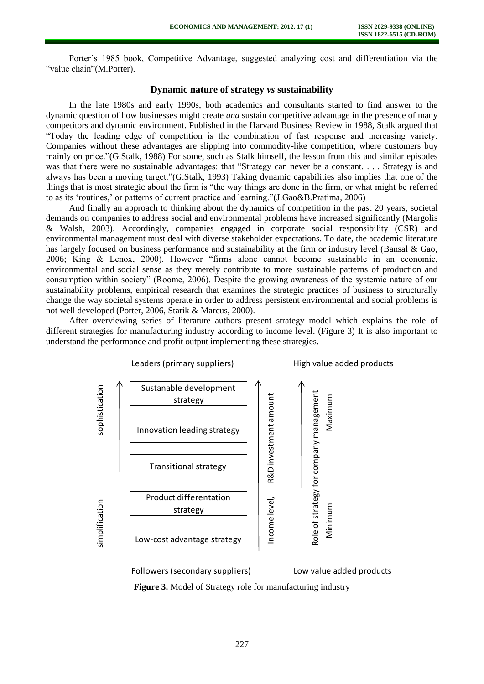Porter's 1985 book, Competitive Advantage, suggested analyzing cost and differentiation via the "value chain"(M.Porter).

## **Dynamic nature of strategy** *vs* **sustainability**

In the late 1980s and early 1990s, both academics and consultants started to find answer to the dynamic question of how businesses might create *and* sustain competitive advantage in the presence of many competitors and dynamic environment. Published in the Harvard Business Review in 1988, Stalk argued that "Today the leading edge of competition is the combination of fast response and increasing variety. Companies without these advantages are slipping into commodity-like competition, where customers buy mainly on price."(G.Stalk, 1988) For some, such as Stalk himself, the lesson from this and similar episodes was that there were no sustainable advantages: that "Strategy can never be a constant. . . . Strategy is and always has been a moving target."(G.Stalk, 1993) Taking dynamic capabilities also implies that one of the things that is most strategic about the firm is "the way things are done in the firm, or what might be referred to as its 'routines,' or patterns of current practice and learning."(J.Gao&B.Pratima, 2006)

And finally an approach to thinking about the dynamics of competition in the past 20 years, societal demands on companies to address social and environmental problems have increased significantly (Margolis & Walsh, 2003). Accordingly, companies engaged in corporate social responsibility (CSR) and environmental management must deal with diverse stakeholder expectations. To date, the academic literature has largely focused on business performance and sustainability at the firm or industry level (Bansal & Gao, 2006; King & Lenox, 2000). However "firms alone cannot become sustainable in an economic, environmental and social sense as they merely contribute to more sustainable patterns of production and consumption within society" (Roome, 2006). Despite the growing awareness of the systemic nature of our sustainability problems, empirical research that examines the strategic practices of business to structurally change the way societal systems operate in order to address persistent environmental and social problems is not well developed (Porter, 2006, Starik & Marcus, 2000).

After overviewing series of literature authors present strategy model which explains the role of different strategies for manufacturing industry according to income level. (Figure 3) It is also important to understand the performance and profit output implementing these strategies.



**Figure 3.** Model of Strategy role for manufacturing industry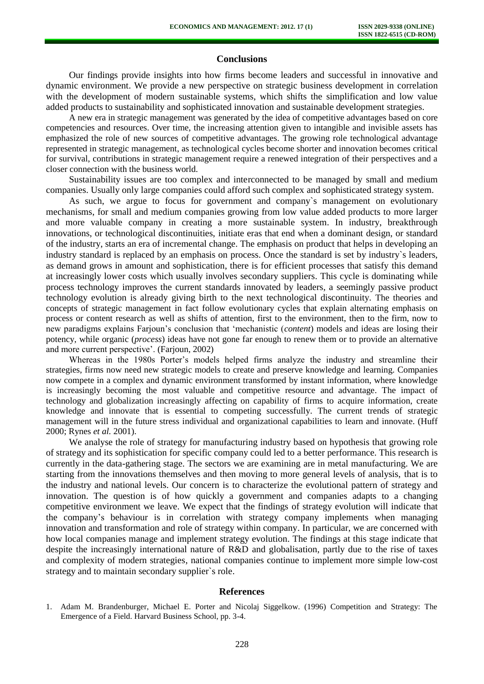## **Conclusions**

Our findings provide insights into how firms become leaders and successful in innovative and dynamic environment. We provide a new perspective on strategic business development in correlation with the development of modern sustainable systems, which shifts the simplification and low value added products to sustainability and sophisticated innovation and sustainable development strategies.

A new era in strategic management was generated by the idea of competitive advantages based on core competencies and resources. Over time, the increasing attention given to intangible and invisible assets has emphasized the role of new sources of competitive advantages. The growing role technological advantage represented in strategic management, as technological cycles become shorter and innovation becomes critical for survival, contributions in strategic management require a renewed integration of their perspectives and a closer connection with the business world.

Sustainability issues are too complex and interconnected to be managed by small and medium companies. Usually only large companies could afford such complex and sophisticated strategy system.

As such, we argue to focus for government and company`s management on evolutionary mechanisms, for small and medium companies growing from low value added products to more larger and more valuable company in creating a more sustainable system. In industry, breakthrough innovations, or technological discontinuities, initiate eras that end when a dominant design, or standard of the industry, starts an era of incremental change. The emphasis on product that helps in developing an industry standard is replaced by an emphasis on process. Once the standard is set by industry`s leaders, as demand grows in amount and sophistication, there is for efficient processes that satisfy this demand at increasingly lower costs which usually involves secondary suppliers. This cycle is dominating while process technology improves the current standards innovated by leaders, a seemingly passive product technology evolution is already giving birth to the next technological discontinuity. The theories and concepts of strategic management in fact follow evolutionary cycles that explain alternating emphasis on process or content research as well as shifts of attention, first to the environment, then to the firm, now to new paradigms explains Farjoun's conclusion that 'mechanistic (*content*) models and ideas are losing their potency, while organic (*process*) ideas have not gone far enough to renew them or to provide an alternative and more current perspective'. (Farjoun, 2002)

Whereas in the 1980s Porter's models helped firms analyze the industry and streamline their strategies, firms now need new strategic models to create and preserve knowledge and learning. Companies now compete in a complex and dynamic environment transformed by instant information, where knowledge is increasingly becoming the most valuable and competitive resource and advantage. The impact of technology and globalization increasingly affecting on capability of firms to acquire information, create knowledge and innovate that is essential to competing successfully. The current trends of strategic management will in the future stress individual and organizational capabilities to learn and innovate. (Huff 2000; Rynes *et al.* 2001).

We analyse the role of strategy for manufacturing industry based on hypothesis that growing role of strategy and its sophistication for specific company could led to a better performance. This research is currently in the data-gathering stage. The sectors we are examining are in metal manufacturing. We are starting from the innovations themselves and then moving to more general levels of analysis, that is to the industry and national levels. Our concern is to characterize the evolutional pattern of strategy and innovation. The question is of how quickly a government and companies adapts to a changing competitive environment we leave. We expect that the findings of strategy evolution will indicate that the company's behaviour is in correlation with strategy company implements when managing innovation and transformation and role of strategy within company. In particular, we are concerned with how local companies manage and implement strategy evolution. The findings at this stage indicate that despite the increasingly international nature of R&D and globalisation, partly due to the rise of taxes and complexity of modern strategies, national companies continue to implement more simple low-cost strategy and to maintain secondary supplier`s role.

#### **References**

<sup>1.</sup> Adam M. Brandenburger, Michael E. Porter and Nicolaj Siggelkow. (1996) Competition and Strategy: The Emergence of a Field. Harvard Business School, pp. 3-4.